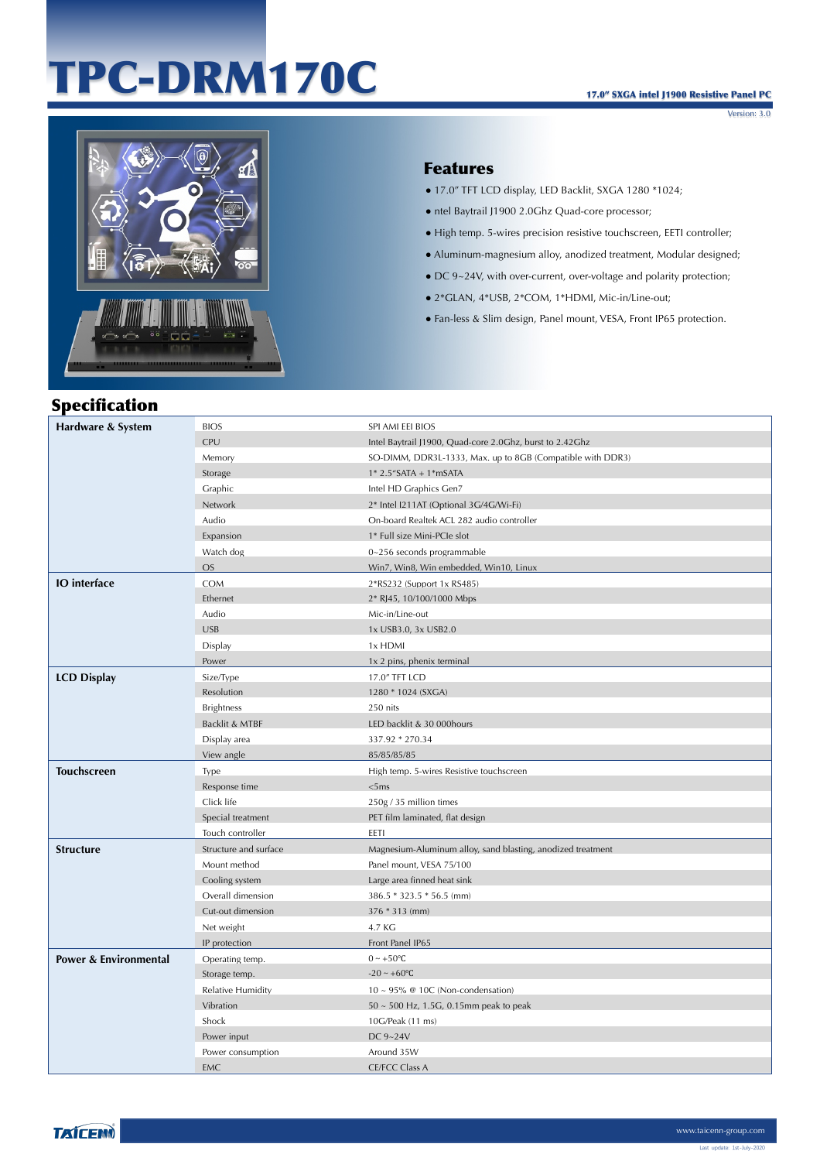# TPC-DRM170C

Version: 3.0



#### Features

- 17.0" TFT LCD display, LED Backlit, SXGA 1280 \*1024;
- ntel Baytrail J1900 2.0Ghz Quad-core processor;
- High temp. 5-wires precision resistive touchscreen, EETI controller;
- Aluminum-magnesium alloy, anodized treatment, Modular designed;
- DC 9~24V, with over-current, over-voltage and polarity protection;
- 2\*GLAN, 4\*USB, 2\*COM, 1\*HDMI, Mic-in/Line-out;
- Fan-less & Slim design, Panel mount, VESA, Front IP65 protection.

## Specification

| Hardware & System                | <b>BIOS</b>              | SPI AMI EEI BIOS                                            |
|----------------------------------|--------------------------|-------------------------------------------------------------|
|                                  | CPU                      | Intel Baytrail J1900, Quad-core 2.0Ghz, burst to 2.42Ghz    |
|                                  | Memory                   | SO-DIMM, DDR3L-1333, Max. up to 8GB (Compatible with DDR3)  |
|                                  | Storage                  | $1*$ 2.5"SATA + 1*mSATA                                     |
|                                  | Graphic                  | Intel HD Graphics Gen7                                      |
|                                  | Network                  | 2* Intel I211AT (Optional 3G/4G/Wi-Fi)                      |
|                                  | Audio                    | On-board Realtek ACL 282 audio controller                   |
|                                  | Expansion                | 1* Full size Mini-PCIe slot                                 |
|                                  | Watch dog                | 0~256 seconds programmable                                  |
|                                  | <b>OS</b>                | Win7, Win8, Win embedded, Win10, Linux                      |
| <b>IO</b> interface              | <b>COM</b>               | 2*RS232 (Support 1x RS485)                                  |
|                                  | Ethernet                 | 2* RJ45, 10/100/1000 Mbps                                   |
|                                  | Audio                    | Mic-in/Line-out                                             |
|                                  | <b>USB</b>               | 1x USB3.0, 3x USB2.0                                        |
|                                  | Display                  | 1x HDMI                                                     |
|                                  | Power                    | 1x 2 pins, phenix terminal                                  |
| <b>LCD Display</b>               | Size/Type                | 17.0" TFT LCD                                               |
|                                  | Resolution               | 1280 * 1024 (SXGA)                                          |
|                                  | <b>Brightness</b>        | 250 nits                                                    |
|                                  | Backlit & MTBF           | LED backlit & 30 000hours                                   |
|                                  | Display area             | 337.92 * 270.34                                             |
|                                  | View angle               | 85/85/85/85                                                 |
| <b>Touchscreen</b>               | Type                     | High temp. 5-wires Resistive touchscreen                    |
|                                  |                          |                                                             |
|                                  | Response time            | <5ms                                                        |
|                                  | Click life               | 250g / 35 million times                                     |
|                                  | Special treatment        | PET film laminated, flat design                             |
|                                  | Touch controller         | EETI                                                        |
| <b>Structure</b>                 | Structure and surface    | Magnesium-Aluminum alloy, sand blasting, anodized treatment |
|                                  | Mount method             | Panel mount, VESA 75/100                                    |
|                                  | Cooling system           | Large area finned heat sink                                 |
|                                  | Overall dimension        | 386.5 * 323.5 * 56.5 (mm)                                   |
|                                  | Cut-out dimension        | 376 * 313 (mm)                                              |
|                                  | Net weight               | 4.7 KG                                                      |
|                                  | IP protection            | Front Panel IP65                                            |
| <b>Power &amp; Environmental</b> | Operating temp.          | $0 \sim +50$ °C                                             |
|                                  | Storage temp.            | $-20 \sim +60$ °C                                           |
|                                  | <b>Relative Humidity</b> | $10 \sim 95\%$ @ 10C (Non-condensation)                     |
|                                  | Vibration                | $50 \sim 500$ Hz, 1.5G, 0.15mm peak to peak                 |
|                                  | Shock                    | 10G/Peak (11 ms)                                            |
|                                  | Power input              | DC 9~24V                                                    |
|                                  | Power consumption        | Around 35W                                                  |